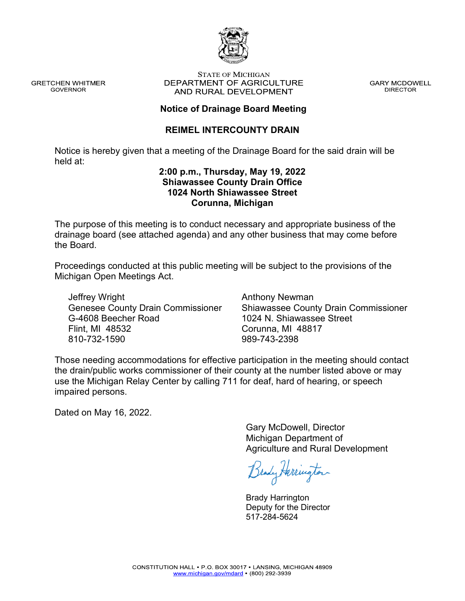

**GRETCHEN WHITMER GOVERNOR** 

#### **STATE OF MICHIGAN** DEPARTMENT OF AGRICULTURE AND RURAL DEVELOPMENT

**GARY MCDOWELL DIRECTOR** 

#### **Notice of Drainage Board Meeting**

#### **REIMEL INTERCOUNTY DRAIN**

Notice is hereby given that a meeting of the Drainage Board for the said drain will be held at:

#### **2:00 p.m., Thursday, May 19, 2022 Shiawassee County Drain Office 1024 North Shiawassee Street Corunna, Michigan**

The purpose of this meeting is to conduct necessary and appropriate business of the drainage board (see attached agenda) and any other business that may come before the Board.

Proceedings conducted at this public meeting will be subject to the provisions of the Michigan Open Meetings Act.

Jeffrey Wright Genesee County Drain Commissioner G-4608 Beecher Road Flint, MI 48532 810-732-1590

Anthony Newman Shiawassee County Drain Commissioner 1024 N. Shiawassee Street Corunna, MI 48817 989-743-2398

Those needing accommodations for effective participation in the meeting should contact the drain/public works commissioner of their county at the number listed above or may use the Michigan Relay Center by calling 711 for deaf, hard of hearing, or speech impaired persons.

Dated on May 16, 2022.

Gary McDowell, Director Michigan Department of Agriculture and Rural Development

Brady Herrington

Brady Harrington Deputy for the Director 517-284-5624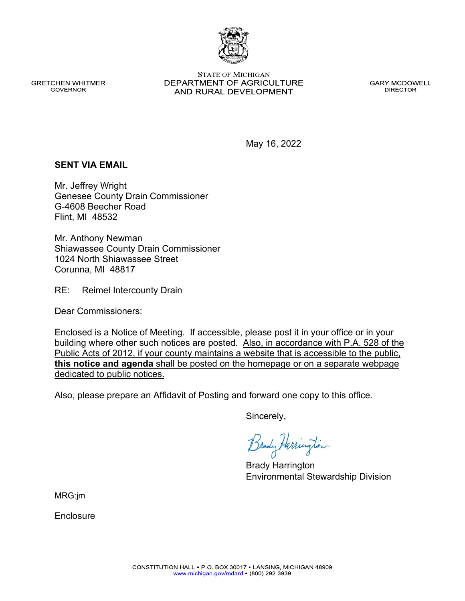#### **GRETCHEN WHITMER GOVERNOR**

**STATE OF MICHIGAN** DEPARTMENT OF AGRICULTURE AND RURAL DEVELOPMENT

**GARY MCDOWELL DIRECTOR** 

May 16, 2022

### **SENT VIA EMAIL**

Mr. Jeffrey Wright Genesee County Drain Commissioner G-4608 Beecher Road Flint, MI 48532

Mr. Anthony Newman Shiawassee County Drain Commissioner 1024 North Shiawassee Street Corunna, MI 48817

RE: Reimel Intercounty Drain

Dear Commissioners:

Enclosed is a Notice of Meeting. If accessible, please post it in your office or in your building where other such notices are posted. Also, in accordance with P.A. 528 of the Public Acts of 2012, if your county maintains a website that is accessible to the public, **this notice and agenda** shall be posted on the homepage or on a separate webpage dedicated to public notices.

Also, please prepare an Affidavit of Posting and forward one copy to this office.

Sincerely,

Brady Harrington Environmental Stewardship Division

MRG:jm

Enclosure